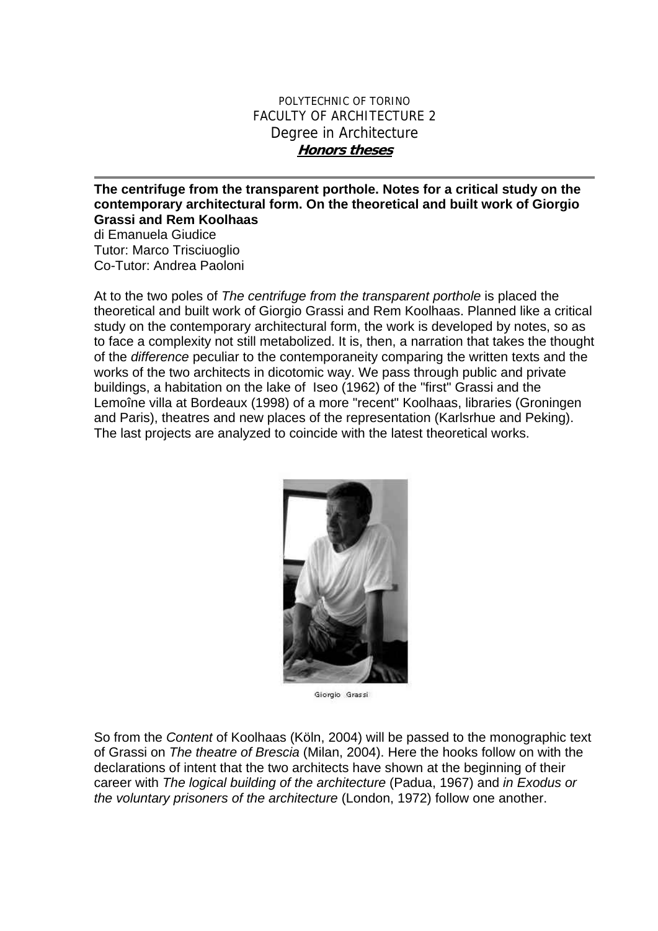## POLYTECHNIC OF TORINO FACULTY OF ARCHITECTURE 2 Degree in Architecture **Honors theses**

**The centrifuge from the transparent porthole. Notes for a critical study on the contemporary architectural form. On the theoretical and built work of Giorgio Grassi and Rem Koolhaas** 

di Emanuela Giudice Tutor: Marco Trisciuoglio Co-Tutor: Andrea Paoloni

At to the two poles of *The centrifuge from the transparent porthole* is placed the theoretical and built work of Giorgio Grassi and Rem Koolhaas. Planned like a critical study on the contemporary architectural form, the work is developed by notes, so as to face a complexity not still metabolized. It is, then, a narration that takes the thought of the *difference* peculiar to the contemporaneity comparing the written texts and the works of the two architects in dicotomic way. We pass through public and private buildings, a habitation on the lake of Iseo (1962) of the "first" Grassi and the Lemoîne villa at Bordeaux (1998) of a more "recent" Koolhaas, libraries (Groningen and Paris), theatres and new places of the representation (Karlsrhue and Peking). The last projects are analyzed to coincide with the latest theoretical works.



Giorgio Grassi

So from the *Content* of Koolhaas (Köln, 2004) will be passed to the monographic text of Grassi on *The theatre of Brescia* (Milan, 2004). Here the hooks follow on with the declarations of intent that the two architects have shown at the beginning of their career with *The logical building of the architecture* (Padua, 1967) and *in Exodus or the voluntary prisoners of the architecture* (London, 1972) follow one another.